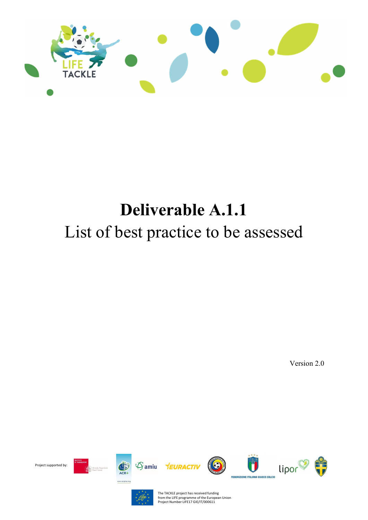

## Deliverable A.1.1 List of best practice to be assessed

Version 2.0





The TACKLE project has received funding from the LIFE programme of the European Union Project Number LIFE17 GIE/IT/000611

Project supported by: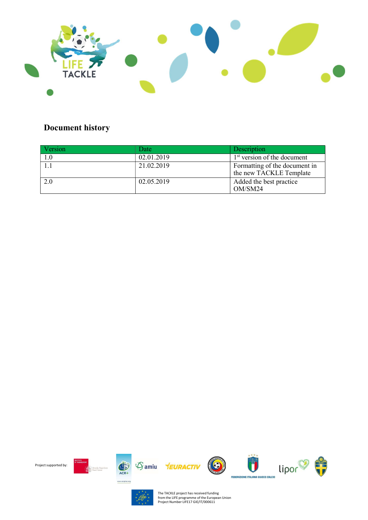

## Document history

| Version | Date       | Description                                              |
|---------|------------|----------------------------------------------------------|
|         | 02.01.2019 | 1 <sup>st</sup> version of the document                  |
|         | 21.02.2019 | Formatting of the document in<br>the new TACKLE Template |
| 2.0     | 02.05.2019 | Added the best practice<br>OM/SM24                       |





The TACKLE project has received funding from the LIFE programme of the European Union Project Number LIFE17 GIE/IT/000611

Project supported by: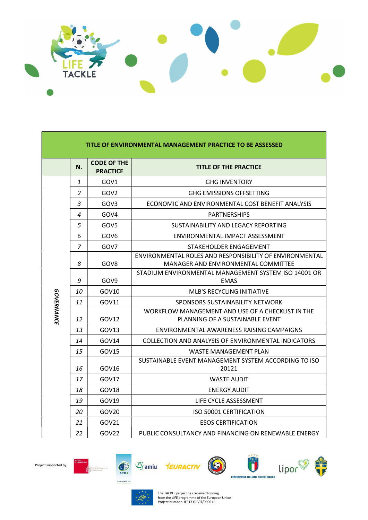

| TITLE OF ENVIRONMENTAL MANAGEMENT PRACTICE TO BE ASSESSED |                |                                       |                                                                                                |
|-----------------------------------------------------------|----------------|---------------------------------------|------------------------------------------------------------------------------------------------|
|                                                           | N.             | <b>CODE OF THE</b><br><b>PRACTICE</b> | <b>TITLE OF THE PRACTICE</b>                                                                   |
|                                                           | 1              | GOV1                                  | <b>GHG INVENTORY</b>                                                                           |
|                                                           | $\overline{2}$ | GOV <sub>2</sub>                      | <b>GHG EMISSIONS OFFSETTING</b>                                                                |
|                                                           | 3              | GOV3                                  | ECONOMIC AND ENVIRONMENTAL COST BENEFIT ANALYSIS                                               |
|                                                           | 4              | GOV4                                  | <b>PARTNERSHIPS</b>                                                                            |
|                                                           | 5              | GOV <sub>5</sub>                      | SUSTAINABILITY AND LEGACY REPORTING                                                            |
|                                                           | 6              | GOV <sub>6</sub>                      | ENVIRONMENTAL IMPACT ASSESSMENT                                                                |
|                                                           | $\overline{7}$ | GOV7                                  | STAKEHOLDER ENGAGEMENT                                                                         |
|                                                           | 8              | GOV8                                  | ENVIRONMENTAL ROLES AND RESPONSIBILITY OF ENVIRONMENTAL<br>MANAGER AND ENVIRONMENTAL COMMITTEE |
|                                                           | 9              | GOV <sub>9</sub>                      | STADIUM ENVIRONMENTAL MANAGEMENT SYSTEM ISO 14001 OR<br><b>EMAS</b>                            |
|                                                           | 10             | GOV10                                 | MLB'S RECYCLING INITIATIVE                                                                     |
|                                                           | 11             | GOV11                                 | SPONSORS SUSTAINABILITY NETWORK                                                                |
| <b>GOVERNANCE</b>                                         | 12             | GOV12                                 | WORKFLOW MANAGEMENT AND USE OF A CHECKLIST IN THE<br>PLANNING OF A SUSTAINABLE EVENT           |
|                                                           | 13             | GOV <sub>13</sub>                     | ENVIRONMENTAL AWARENESS RAISING CAMPAIGNS                                                      |
|                                                           | 14             | GOV14                                 | COLLECTION AND ANALYSIS OF ENVIRONMENTAL INDICATORS                                            |
|                                                           | 15             | GOV15                                 | WASTE MANAGEMENT PLAN                                                                          |
|                                                           | 16             | GOV16                                 | SUSTAINABLE EVENT MANAGEMENT SYSTEM ACCORDING TO ISO<br>20121                                  |
|                                                           | 17             | GOV17                                 | <b>WASTE AUDIT</b>                                                                             |
|                                                           | 18             | GOV18                                 | <b>ENERGY AUDIT</b>                                                                            |
|                                                           | 19             | GOV19                                 | LIFE CYCLE ASSESSMENT                                                                          |
|                                                           | 20             | GOV20                                 | <b>ISO 50001 CERTIFICATION</b>                                                                 |
|                                                           | 21             | GOV21                                 | <b>ESOS CERTIFICATION</b>                                                                      |
|                                                           | 22             | GOV22                                 | PUBLIC CONSULTANCY AND FINANCING ON RENEWABLE ENERGY                                           |







Scuola Supe<br>Sant'Anna

Project supported by:

The TACKLE project has received funding from the LIFE programme of the European Union Project Number LIFE17 GIE/IT/000611

 $\bigcirc$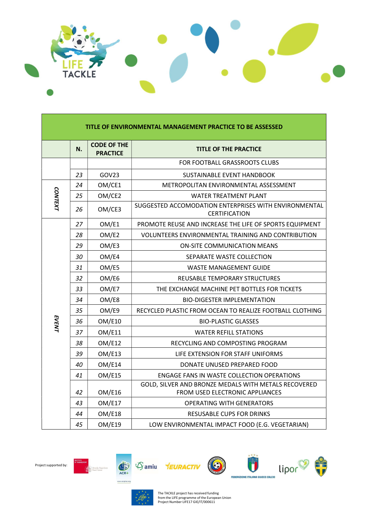

| TITLE OF ENVIRONMENTAL MANAGEMENT PRACTICE TO BE ASSESSED |    |                                       |                                                                                         |
|-----------------------------------------------------------|----|---------------------------------------|-----------------------------------------------------------------------------------------|
|                                                           | N. | <b>CODE OF THE</b><br><b>PRACTICE</b> | <b>TITLE OF THE PRACTICE</b>                                                            |
|                                                           |    |                                       | FOR FOOTBALL GRASSROOTS CLUBS                                                           |
|                                                           | 23 | GOV23                                 | SUSTAINABLE EVENT HANDBOOK                                                              |
|                                                           | 24 | OM/CE1                                | METROPOLITAN ENVIRONMENTAL ASSESSMENT                                                   |
| <b>CONTEXT</b>                                            | 25 | OM/CE2                                | <b>WATER TREATMENT PLANT</b>                                                            |
|                                                           | 26 | OM/CE3                                | SUGGESTED ACCOMODATION ENTERPRISES WITH ENVIRONMENTAL<br><b>CERTIFICATION</b>           |
|                                                           | 27 | OM/E1                                 | PROMOTE REUSE AND INCREASE THE LIFE OF SPORTS EQUIPMENT                                 |
|                                                           | 28 | OM/E2                                 | VOLUNTEERS ENVIRONMENTAL TRAINING AND CONTRIBUTION                                      |
|                                                           | 29 | OM/E3                                 | <b>ON-SITE COMMUNICATION MEANS</b>                                                      |
|                                                           | 30 | OM/E4                                 | SEPARATE WASTE COLLECTION                                                               |
|                                                           | 31 | OM/E5                                 | <b>WASTE MANAGEMENT GUIDE</b>                                                           |
|                                                           | 32 | OM/E6                                 | REUSABLE TEMPORARY STRUCTURES                                                           |
|                                                           | 33 | OM/E7                                 | THE EXCHANGE MACHINE PET BOTTLES FOR TICKETS                                            |
|                                                           | 34 | OM/E8                                 | <b>BIO-DIGESTER IMPLEMENTATION</b>                                                      |
|                                                           | 35 | OM/E9                                 | RECYCLED PLASTIC FROM OCEAN TO REALIZE FOOTBALL CLOTHING                                |
| EVENT                                                     | 36 | OM/E10                                | <b>BIO-PLASTIC GLASSES</b>                                                              |
|                                                           | 37 | <b>OM/E11</b>                         | <b>WATER REFILL STATIONS</b>                                                            |
|                                                           | 38 | OM/E12                                | RECYCLING AND COMPOSTING PROGRAM                                                        |
|                                                           | 39 | OM/E13                                | LIFE EXTENSION FOR STAFF UNIFORMS                                                       |
|                                                           | 40 | <b>OM/E14</b>                         | DONATE UNUSED PREPARED FOOD                                                             |
|                                                           | 41 | OM/E15                                | <b>ENGAGE FANS IN WASTE COLLECTION OPERATIONS</b>                                       |
|                                                           | 42 | OM/E16                                | GOLD, SILVER AND BRONZE MEDALS WITH METALS RECOVERED<br>FROM USED ELECTRONIC APPLIANCES |
|                                                           | 43 | OM/E17                                | <b>OPERATING WITH GENERATORS</b>                                                        |
|                                                           | 44 | OM/E18                                | <b>RESUSABLE CUPS FOR DRINKS</b>                                                        |
|                                                           | 45 | <b>OM/E19</b>                         | LOW ENVIRONMENTAL IMPACT FOOD (E.G. VEGETARIAN)                                         |





 $\begin{picture}(120,10) \put(0,0){\line(1,0){15}} \put(15,0){\line(1,0){15}} \put(15,0){\line(1,0){15}} \put(15,0){\line(1,0){15}} \put(15,0){\line(1,0){15}} \put(15,0){\line(1,0){15}} \put(15,0){\line(1,0){15}} \put(15,0){\line(1,0){15}} \put(15,0){\line(1,0){15}} \put(15,0){\line(1,0){15}} \put(15,0){\line(1,0){15}} \put(15,0){\line($ 

|<br>| Scuola Supe<br>| Sant' Anna

The TACKLE project has received funding from the LIFE programme of the European Union Project Number LIFE17 GIE/IT/000611

Samiu **YEURACTIV** 

 $\bigcirc$ 

 $\mathbf{C}$ 

FEDERAZIONE ITALIANA GIUOCO CALCIO

lipor

**The Second Service**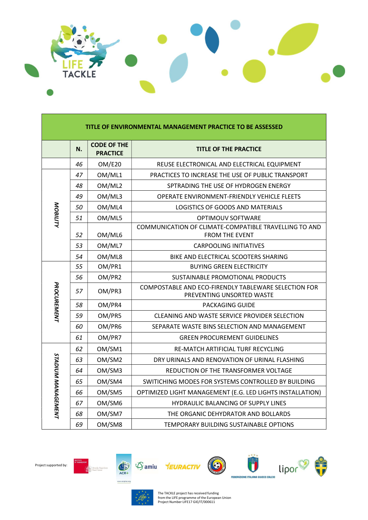

| TITLE OF ENVIRONMENTAL MANAGEMENT PRACTICE TO BE ASSESSED |    |                                       |                                                                                   |
|-----------------------------------------------------------|----|---------------------------------------|-----------------------------------------------------------------------------------|
|                                                           | N. | <b>CODE OF THE</b><br><b>PRACTICE</b> | <b>TITLE OF THE PRACTICE</b>                                                      |
|                                                           | 46 | OM/E20                                | REUSE ELECTRONICAL AND ELECTRICAL EQUIPMENT                                       |
|                                                           | 47 | OM/ML1                                | PRACTICES TO INCREASE THE USE OF PUBLIC TRANSPORT                                 |
|                                                           | 48 | OM/ML2                                | SPTRADING THE USE OF HYDROGEN ENERGY                                              |
|                                                           | 49 | OM/ML3                                | OPERATE ENVIRONMENT-FRIENDLY VEHICLE FLEETS                                       |
|                                                           | 50 | OM/ML4                                | LOGISTICS OF GOODS AND MATERIALS                                                  |
| <b>MOBILITY</b>                                           | 51 | OM/ML5                                | OPTIMOUV SOFTWARE                                                                 |
|                                                           | 52 | OM/ML6                                | COMMUNICATION OF CLIMATE-COMPATIBLE TRAVELLING TO AND<br><b>FROM THE EVENT</b>    |
|                                                           | 53 | OM/ML7                                | <b>CARPOOLING INITIATIVES</b>                                                     |
|                                                           | 54 | OM/ML8                                | BIKE AND ELECTRICAL SCOOTERS SHARING                                              |
|                                                           | 55 | OM/PR1                                | <b>BUYING GREEN ELECTRICITY</b>                                                   |
|                                                           | 56 | OM/PR2                                | SUSTAINABLE PROMOTIONAL PRODUCTS                                                  |
| <b>PROCUREMENT</b>                                        | 57 | OM/PR3                                | COMPOSTABLE AND ECO-FIRENDLY TABLEWARE SELECTION FOR<br>PREVENTING UNSORTED WASTE |
|                                                           | 58 | OM/PR4                                | PACKAGING GUIDE                                                                   |
|                                                           | 59 | OM/PR5                                | CLEANING AND WASTE SERVICE PROVIDER SELECTION                                     |
|                                                           | 60 | OM/PR6                                | SEPARATE WASTE BINS SELECTION AND MANAGEMENT                                      |
|                                                           | 61 | OM/PR7                                | <b>GREEN PROCUREMENT GUIDELINES</b>                                               |
|                                                           | 62 | OM/SM1                                | RE-MATCH ARTIFICIAL TURF RECYCLING                                                |
| <b>STADIUM MANAGEMENT</b>                                 | 63 | OM/SM2                                | DRY URINALS AND RENOVATION OF URINAL FLASHING                                     |
|                                                           | 64 | OM/SM3                                | REDUCTION OF THE TRANSFORMER VOLTAGE                                              |
|                                                           | 65 | OM/SM4                                | SWITICHING MODES FOR SYSTEMS CONTROLLED BY BUILDING                               |
|                                                           | 66 | OM/SM5                                | OPTIMIZED LIGHT MANAGEMENT (E.G. LED LIGHTS INSTALLATION)                         |
|                                                           | 67 | OM/SM6                                | HYDRAULIC BALANCING OF SUPPLY LINES                                               |
|                                                           | 68 | OM/SM7                                | THE ORGANIC DEHYDRATOR AND BOLLARDS                                               |
|                                                           | 69 | OM/SM8                                | TEMPORARY BUILDING SUSTAINABLE OPTIONS                                            |









The TACKLE project has received funding from the LIFE programme of the European Union Project Number LIFE17 GIE/IT/000611

 $\bigcirc$